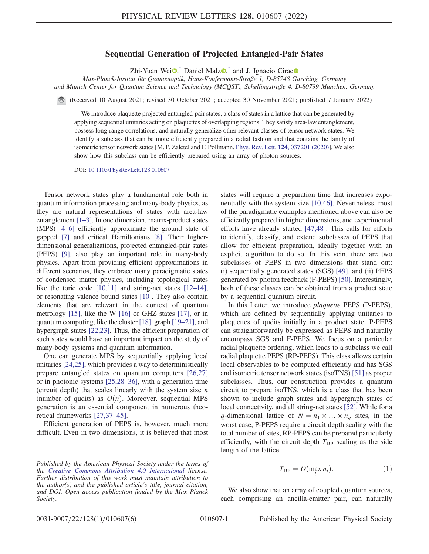## Sequential Generation of Projected Entangled-Pair States

Zhi-Yuan Wei $\bullet$ , Daniel Malz $\bullet$ , and J. Ignacio Cirac $\bullet$ 

<span id="page-0-1"></span>Max-Planck-Institut für Quantenoptik, Hans-Kopfermann-Straße 1, D-85748 Garching, Germany and Munich Center for Quantum Science and Technology (MCQST), Schellingstraße 4, D-80799 München, Germany

(Received 10 August 2021; revised 30 October 2021; accepted 30 November 2021; published 7 January 2022)

We introduce plaquette projected entangled-pair states, a class of states in a lattice that can be generated by applying sequential unitaries acting on plaquettes of overlapping regions. They satisfy area-law entanglement, possess long-range correlations, and naturally generalize other relevant classes of tensor network states. We identify a subclass that can be more efficiently prepared in a radial fashion and that contains the family of isometric tensor network states [M. P. Zaletel and F. Pollmann, Phys. Rev. Lett. 124[, 037201 \(2020\)\]](https://doi.org/10.1103/PhysRevLett.124.037201). We also show how this subclass can be efficiently prepared using an array of photon sources.

DOI: [10.1103/PhysRevLett.128.010607](https://doi.org/10.1103/PhysRevLett.128.010607)

Tensor network states play a fundamental role both in quantum information processing and many-body physics, as they are natural representations of states with area-law entanglement [\[1](#page-4-1)–[3\]](#page-4-2). In one dimension, matrix-product states (MPS) [[4](#page-4-3)–[6](#page-4-4)] efficiently approximate the ground state of gapped [[7\]](#page-4-5) and critical Hamiltonians [\[8](#page-4-6)]. Their higherdimensional generalizations, projected entangled-pair states (PEPS) [\[9](#page-4-7)], also play an important role in many-body physics. Apart from providing efficient approximations in different scenarios, they embrace many paradigmatic states of condensed matter physics, including topological states like the toric code [\[10,](#page-4-8)[11](#page-4-9)] and string-net states [\[12](#page-4-10)–[14](#page-4-11)], or resonating valence bound states [[10](#page-4-8)]. They also contain elements that are relevant in the context of quantum metrology [\[15](#page-4-12)], like the W [[16](#page-4-13)] or GHZ states [[17](#page-4-14)], or in quantum computing, like the cluster [[18](#page-4-15)], graph [[19](#page-4-16)–[21](#page-4-17)], and hypergraph states [\[22](#page-4-18),[23](#page-4-19)]. Thus, the efficient preparation of such states would have an important impact on the study of many-body systems and quantum information.

One can generate MPS by sequentially applying local unitaries [\[24](#page-4-20)[,25\]](#page-4-21), which provides a way to deterministically prepare entangled states on quantum computers [\[26,](#page-4-22)[27\]](#page-4-23) or in photonic systems [\[25](#page-4-21)[,28](#page-4-24)–[36](#page-5-0)], with a generation time (circuit depth) that scales linearly with the system size  $n$ (number of qudits) as  $O(n)$ . Moreover, sequential MPS generation is an essential component in numerous theoretical frameworks [[27](#page-4-23),[37](#page-5-1)–[45\]](#page-5-2).

Efficient generation of PEPS is, however, much more difficult. Even in two dimensions, it is believed that most states will require a preparation time that increases exponentially with the system size [[10](#page-4-8),[46](#page-5-3)]. Nevertheless, most of the paradigmatic examples mentioned above can also be efficiently prepared in higher dimensions, and experimental efforts have already started [\[47,](#page-5-4)[48](#page-5-5)]. This calls for efforts to identify, classify, and extend subclasses of PEPS that allow for efficient preparation, ideally together with an explicit algorithm to do so. In this vein, there are two subclasses of PEPS in two dimensions that stand out: (i) sequentially generated states (SGS) [[49](#page-5-6)], and (ii) PEPS generated by photon feedback (F-PEPS) [[50](#page-5-7)]. Interestingly, both of these classes can be obtained from a product state by a sequential quantum circuit.

In this Letter, we introduce plaquette PEPS (P-PEPS), which are defined by sequentially applying unitaries to plaquettes of qudits initially in a product state. P-PEPS can straightforwardly be expressed as PEPS and naturally encompass SGS and F-PEPS. We focus on a particular radial plaquette ordering, which leads to a subclass we call radial plaquette PEPS (RP-PEPS). This class allows certain local observables to be computed efficiently and has SGS and isometric tensor network states (isoTNS) [\[51\]](#page-5-8) as proper subclasses. Thus, our construction provides a quantum circuit to prepare isoTNS, which is a class that has been shown to include graph states and hypergraph states of local connectivity, and all string-net states [\[52\]](#page-5-9). While for a q-dimensional lattice of  $N = n_1 \times ... \times n_q$  sites, in the worst case, P-PEPS require a circuit depth scaling with the total number of sites, RP-PEPS can be prepared particularly efficiently, with the circuit depth  $T_{RP}$  scaling as the side length of the lattice

$$
T_{\rm RP} = O(\max_i n_i). \tag{1}
$$

<span id="page-0-0"></span>We also show that an array of coupled quantum sources, each comprising an ancilla-emitter pair, can naturally

Published by the American Physical Society under the terms of the [Creative Commons Attribution 4.0 International](https://creativecommons.org/licenses/by/4.0/) license. Further distribution of this work must maintain attribution to the author(s) and the published article's title, journal citation, and DOI. Open access publication funded by the Max Planck Society.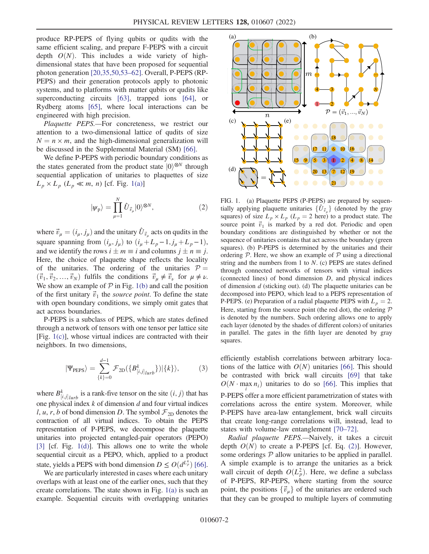produce RP-PEPS of flying qubits or qudits with the same efficient scaling, and prepare F-PEPS with a circuit depth  $O(N)$ . This includes a wide variety of highdimensional states that have been proposed for sequential photon generation [[20](#page-4-25),[35](#page-5-10),[50](#page-5-7)[,53](#page-5-11)–[62](#page-5-12)]. Overall, P-PEPS (RP-PEPS) and their generation protocols apply to photonic systems, and to platforms with matter qubits or qudits like superconducting circuits [[63](#page-5-13)], trapped ions [[64](#page-5-14)], or Rydberg atoms [\[65\]](#page-5-15), where local interactions can be engineered with high precision.

Plaquette PEPS.—For concreteness, we restrict our attention to a two-dimensional lattice of qudits of size  $N = n \times m$ , and the high-dimensional generalization will be discussed in the Supplemental Material (SM) [\[66\]](#page-5-16).

<span id="page-1-1"></span>We define P-PEPS with periodic boundary conditions as the states generated from the product state  $|0\rangle^{\otimes N}$  through sequential application of unitaries to plaquettes of size  $L_p \times L_p$  ( $L_p \ll m$ , n) [cf. Fig. [1\(a\)\]](#page-1-0)

$$
|\psi_{\mathbf{p}}\rangle = \prod_{\mu=1}^{N} \hat{U}_{\vec{v}_{\mu}}|0\rangle^{\otimes N},\tag{2}
$$

where  $\vec{v}_{\mu} = (i_{\mu}, j_{\mu})$  and the unitary  $\hat{U}_{\vec{v}_{\mu}}$  acts on qudits in the square spanning from  $(i_\mu, j_\mu)$  to  $(i_\mu + L_p - 1, j_\mu + L_p - 1)$ , and we identify the rows  $i \pm m \equiv i$  and columns  $j \pm n \equiv j$ .<br>Here the choice of plaquette shape reflects the locality Here, the choice of plaquette shape reflects the locality of the unitaries. The ordering of the unitaries  $P =$  $(\vec{v}_1, \vec{v}_2, \dots, \vec{v}_N)$  fulfils the conditions  $\vec{v}_\mu \neq \vec{v}_\nu$  for  $\mu \neq \nu$ . We show an example of  $P$  in Fig. [1\(b\)](#page-1-0) and call the position of the first unitary  $\vec{v}_1$  the *source point*. To define the state with open boundary conditions, we simply omit gates that act across boundaries.

<span id="page-1-2"></span>P-PEPS is a subclass of PEPS, which are states defined through a network of tensors with one tensor per lattice site [Fig. [1\(c\)\]](#page-1-0), whose virtual indices are contracted with their neighbors. In two dimensions,

$$
|\Psi_{\text{PEPS}}\rangle = \sum_{\{k\}=0}^{d-1} \mathcal{F}_{\text{2D}}(\{B^k_{[i,j]_{lurb}}\})|\{k\}\rangle,\tag{3}
$$

where  $B_{[i,j]|_{lurb}}^k$  is a rank-five tensor on the site  $(i, j)$  that has one physical index  $k$  of dimension  $d$  and four virtual indices l, u, r, b of bond dimension D. The symbol  $\mathcal{F}_{2D}$  denotes the contraction of all virtual indices. To obtain the PEPS representation of P-PEPS, we decompose the plaquette unitaries into projected entangled-pair operators (PEPO) [\[3](#page-4-2)] [cf. Fig. [1\(d\)](#page-1-0)]. This allows one to write the whole sequential circuit as a PEPO, which, applied to a product state, yields a PEPS with bond dimension  $D \le O(d^{L_p^4})$  [[66](#page-5-16)].<br>We are particularly interested in cases where each unitary

We are particularly interested in cases where each unitary overlaps with at least one of the earlier ones, such that they create correlations. The state shown in Fig. [1\(a\)](#page-1-0) is such an example. Sequential circuits with overlapping unitaries

<span id="page-1-0"></span>

FIG. 1. (a) Plaquette PEPS (P-PEPS) are prepared by sequentially applying plaquette unitaries  $\{\hat{U}_{\vec{v}}\}\$  (denoted by the gray squares) of size  $L_p \times L_p$  ( $L_p = 2$  here) to a product state. The source point  $\vec{v}_1$  is marked by a red dot. Periodic and open boundary conditions are distinguished by whether or not the sequence of unitaries contains that act across the boundary (green squares). (b) P-PEPS is determined by the unitaries and their ordering  $P$ . Here, we show an example of  $P$  using a directional string and the numbers from 1 to  $N$ . (c) PEPS are states defined through connected networks of tensors with virtual indices (connected lines) of bond dimension D, and physical indices of dimension  $d$  (sticking out). (d) The plaquette unitaries can be decomposed into PEPO, which lead to a PEPS representation of P-PEPS. (e) Preparation of a radial plaquette PEPS with  $L_p = 2$ . Here, starting from the source point (the red dot), the ordering  $P$ is denoted by the numbers. Such ordering allows one to apply each layer (denoted by the shades of different colors) of unitaries in parallel. The gates in the fifth layer are denoted by gray squares.

efficiently establish correlations between arbitrary locations of the lattice with  $O(N)$  unitaries [[66](#page-5-16)]. This should be contrasted with brick wall circuits [[69](#page-5-17)] that take  $O(N \cdot \max_i n_i)$  unitaries to do so [[66](#page-5-16)]. This implies that P-PEPS offer a more efficient parametrization of states with correlations across the entire system. Moreover, while P-PEPS have area-law entanglement, brick wall circuits that create long-range correlations will, instead, lead to states with volume-law entanglement [[70](#page-5-18)–[72\]](#page-5-19).

Radial plaquette PEPS.—Naively, it takes a circuit depth  $O(N)$  to create a P-PEPS [cf. Eq. [\(2\)\]](#page-1-1). However, some orderings  $P$  allow unitaries to be applied in parallel. A simple example is to arrange the unitaries as a brick wall circuit of depth  $O(L_p^2)$ . Here, we define a subclass<br>of **P PEPS** PPEPS, where starting from the source of P-PEPS, RP-PEPS, where starting from the source point, the positions  $\{\vec{v}_\mu\}$  of the unitaries are ordered such that they can be grouped to multiple layers of commuting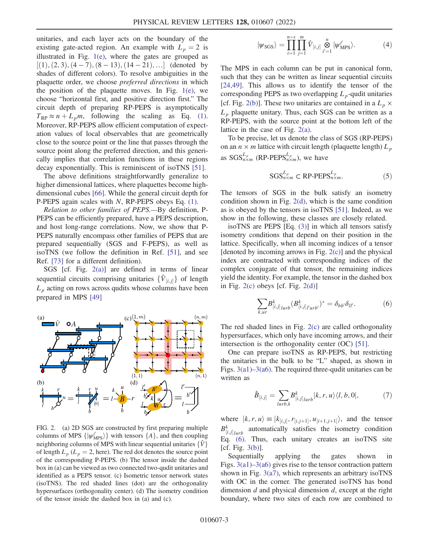unitaries, and each layer acts on the boundary of the existing gate-acted region. An example with  $L_p = 2$  is illustrated in Fig. [1\(e\),](#page-1-0) where the gates are grouped as  $[(1), (2, 3), (4, -7), (8, -13), (14, -21), \ldots]$  (denoted by shades of different colors). To resolve ambiguities in the plaquette order, we choose preferred directions in which the position of the plaquette moves. In Fig.  $1(e)$ , we choose "horizontal first, and positive direction first." The circuit depth of preparing RP-PEPS is asymptotically  $T_{RP} \approx n + L_p m$ , following the scaling as Eq. [\(1\)](#page-0-0). Moreover, RP-PEPS allow efficient computation of expectation values of local observables that are geometrically close to the source point or the line that passes through the source point along the preferred direction, and this generically implies that correlation functions in these regions decay exponentially. This is reminiscent of isoTNS [[51](#page-5-8)].

The above definitions straightforwardly generalize to higher dimensional lattices, where plaquettes become highdimensional cubes [\[66\]](#page-5-16). While the general circuit depth for P-PEPS again scales with N, RP-PEPS obeys Eq. [\(1\).](#page-0-0)

Relation to other families of PEPS.—By definition, P-PEPS can be efficiently prepared, have a PEPS description, and host long-range correlations. Now, we show that P-PEPS naturally encompass other families of PEPS that are prepared sequentially (SGS and F-PEPS), as well as isoTNS (we follow the definition in Ref. [\[51\]](#page-5-8), and see Ref. [[73](#page-5-20)] for a different definition).

SGS [cf. Fig. [2\(a\)](#page-2-0)] are defined in terms of linear sequential circuits comprising unitaries  $\{\hat{V}_{[i,j]}\}\$  of length  $L_p$  acting on rows across qudits whose columns have been prepared in MPS [[49](#page-5-6)]

<span id="page-2-0"></span>

FIG. 2. (a) 2D SGS are constructed by first preparing multiple columns of MPS  $\{|\psi_{MPS}^{\mu}\rangle\}$  with tensors  $\{A\}$ , and then coupling<br>neighboring columns of MPS with linear coquential unitaries  $[\hat{M}]$ neighboring columns of MPS with linear sequential unitaries  $\{\hat{V}\}\$ of length  $L_p$  ( $L_p = 2$ , here). The red dot denotes the source point of the corresponding P-PEPS. (b) The tensor inside the dashed box in (a) can be viewed as two connected two-qudit unitaries and identified as a PEPS tensor. (c) Isometric tensor network states (isoTNS). The red shaded lines (dot) are the orthogonality hypersurfaces (orthogonality center). (d) The isometry condition of the tensor inside the dashed box in (a) and (c).

$$
|\psi_{SGS}\rangle = \prod_{i=1}^{n-s} \prod_{j=1}^m \hat{V}_{[i,j]} \overset{n}{\underset{i'=1}{\otimes}} |\psi'_{MPS}\rangle. \tag{4}
$$

The MPS in each column can be put in canonical form, such that they can be written as linear sequential circuits [\[24](#page-4-20)[,49\]](#page-5-6). This allows us to identify the tensor of the corresponding PEPS as two overlapping  $L_p$ -qudit unitaries [cf. Fig. [2\(b\)](#page-2-0)]. These two unitaries are contained in a  $L_p \times$  $L_p$  plaquette unitary. Thus, each SGS can be written as a RP-PEPS, with the source point at the bottom left of the lattice in the case of Fig. [2\(a\)](#page-2-0).

To be precise, let us denote the class of SGS (RP-PEPS) on an  $n \times m$  lattice with circuit length (plaquette length)  $L_n$ as  $SGS^{L_p}_{n \times m}$  (RP-PEPS $^{L_p}_{n \times m}$ ), we have

$$
SGS_{n\times m}^{L_p} \subset \text{RP-PEPS}_{n\times m}^{L_p}.
$$
 (5)

The tensors of SGS in the bulk satisfy an isometry condition shown in Fig. [2\(d\),](#page-2-0) which is the same condition as is obeyed by the tensors in isoTNS [\[51\]](#page-5-8). Indeed, as we show in the following, these classes are closely related.

isoTNS are PEPS [Eq. [\(3\)\]](#page-1-2) in which all tensors satisfy isometry conditions that depend on their position in the lattice. Specifically, when all incoming indices of a tensor [denoted by incoming arrows in Fig. [2\(c\)](#page-2-0)] and the physical index are contracted with corresponding indices of the complex conjugate of that tensor, the remaining indices yield the identity. For example, the tensor in the dashed box in Fig.  $2(c)$  obeys [cf. Fig.  $2(d)$ ]

<span id="page-2-1"></span>
$$
\sum_{k,ur} B^k_{[i,j]_{lurb}} (B^k_{[i,j]_{l'urb'}})^* = \delta_{bb'} \delta_{ll'}.
$$
 (6)

The red shaded lines in Fig. [2\(c\)](#page-2-0) are called orthogonality hypersurfaces, which only have incoming arrows, and their intersection is the orthogonality center (OC) [[51](#page-5-8)].

One can prepare isoTNS as RP-PEPS, but restricting the unitaries in the bulk to be "L" shaped, as shown in Figs. 3(a1)–[3\(a6\).](#page-3-0) The required three-qudit unitaries can be written as

$$
\hat{B}_{[i,j]} = \sum_{lurb,k} B^k_{[i,j]lurb} |k, r, u\rangle\langle l, b, 0|,
$$
\n(7)

where  $|k, r, u\rangle \equiv |k_{[i,j]}, r_{[i,j+1]}, u_{[i+1,j+1]}\rangle$ , and the tensor  $B_{[i,j]_{lurb}}^k$  automatically satisfies the isometry condition Eq. [\(6\).](#page-2-1) Thus, each unitary creates an isoTNS site  $[cf. Fig. 3(b)].$  $[cf. Fig. 3(b)].$  $[cf. Fig. 3(b)].$ 

Sequentially applying the gates shown in Figs. 3(a1)–[3\(a6\)](#page-3-0) gives rise to the tensor contraction pattern shown in Fig.  $3(a7)$ , which represents an arbitrary isoTNS with OC in the corner. The generated isoTNS has bond dimension  $d$  and physical dimension  $d$ , except at the right boundary, where two sites of each row are combined to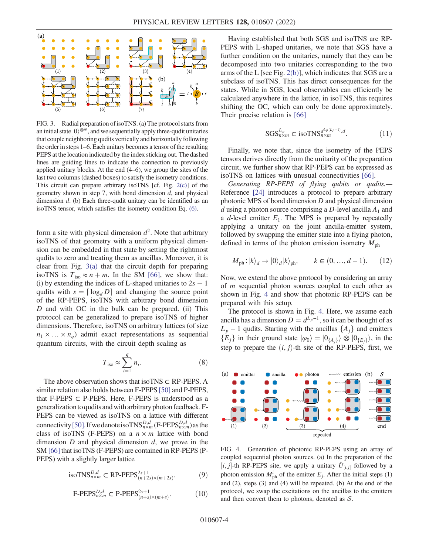<span id="page-3-0"></span>

FIG. 3. Radial preparation of isoTNS. (a) The protocol starts from an initial state  $|0\rangle^{\otimes N}$ , and we sequentially apply three-qudit unitaries that couple neighboring qudits vertically and horizontally following the order in steps 1–6. Each unitary becomes a tensor of the resulting PEPS at the location indicated by the index sticking out. The dashed lines are guiding lines to indicate the connection to previously applied unitary blocks. At the end (4–6), we group the sites of the last two columns (dashed boxes) to satisfy the isometry conditions. This circuit can prepare arbitrary isoTNS [cf. Fig. [2\(c\)\]](#page-2-0) of the geometry shown in step 7, with bond dimension  $d$ , and physical dimension  $d$ . (b) Each three-qudit unitary can be identified as an isoTNS tensor, which satisfies the isometry condition Eq. [\(6\).](#page-2-1)

form a site with physical dimension  $d^2$ . Note that arbitrary isoTNS of that geometry with a uniform physical dimension can be embedded in that state by setting the rightmost qudits to zero and treating them as ancillas. Moreover, it is clear from Fig. [3\(a\)](#page-3-0) that the circuit depth for preparing isoTNS is  $T_{\text{iso}} \approx n + m$ . In the SM [\[66\]](#page-5-16), we show that: (i) by extending the indices of L-shaped unitaries to  $2s + 1$ qudits with  $s = \lceil \log_d D \rceil$  and changing the source point of the RP-PEPS, isoTNS with arbitrary bond dimension D and with OC in the bulk can be prepared. (ii) This protocol can be generalized to prepare isoTNS of higher dimensions. Therefore, isoTNS on arbitrary lattices (of size  $n_1 \times \ldots \times n_q$ ) admit exact representations as sequential quantum circuits, with the circuit depth scaling as

$$
T_{\rm iso} \approx \sum_{i=1}^{q} n_i. \tag{8}
$$

The above observation shows that isoTNS ⊂ RP-PEPS. A similar relation also holds between F-PEPS [\[50](#page-5-7)] and P-PEPS, that F-PEPS  $\subset$  P-PEPS. Here, F-PEPS is understood as a generalizationto qudits and with arbitrary photon feedback. F-PEPS can be viewed as isoTNS on a lattice with different connectivity [\[50\]](#page-5-7). If we denote iso  $TNS_{n\times m}^{D,d}$  (F-PEPS $_{n\times m}^{D,d}$ ) as the class of isoTNS (F-PEPS) on a  $n \times m$  lattice with bond dimension  $D$  and physical dimension  $d$ , we prove in the SM [\[66](#page-5-16)] that isoTNS (F-PEPS) are contained in RP-PEPS (P-PEPS) with a slightly larger lattice

$$
\text{isoTNS}_{n\times m}^{D,d} \subset \text{RP-PEPS}_{(n+2s)\times(m+2s)}^{2s+1},\tag{9}
$$

$$
\text{F-PEPS}_{n\times m}^{D,d} \subset \text{P-PEPS}_{(n+s)\times(m+s)}^{2s+1}.\tag{10}
$$

Having established that both SGS and isoTNS are RP-PEPS with L-shaped unitaries, we note that SGS have a further condition on the unitaries, namely that they can be decomposed into two unitaries corresponding to the two arms of the L [see Fig. [2\(b\)\]](#page-2-0), which indicates that SGS are a subclass of isoTNS. This has direct consequences for the states. While in SGS, local observables can efficiently be calculated anywhere in the lattice, in isoTNS, this requires shifting the OC, which can only be done approximately. Their precise relation is [\[66\]](#page-5-16)

$$
SGS_{n\times m}^{L_p} \subset \text{isoTNS}_{n\times m}^{d^{L_p(L_p-1)},d}.\tag{11}
$$

Finally, we note that, since the isometry of the PEPS tensors derives directly from the unitarity of the preparation circuit, we further show that RP-PEPS can be expressed as isoTNS on lattices with unusual connectivities [[66](#page-5-16)].

Generating RP-PEPS of flying qubits or qudits.— Reference [\[24](#page-4-20)] introduces a protocol to prepare arbitrary photonic MPS of bond dimension D and physical dimension d using a photon source comprising a D-level ancilla  $A_1$  and a  $d$ -level emitter  $E_1$ . The MPS is prepared by repeatedly applying a unitary on the joint ancilla-emitter system, followed by swapping the emitter state into a flying photon, defined in terms of the photon emission isometry  $M_{\text{ph}}$ 

<span id="page-3-2"></span>
$$
M_{\text{ph}}:|k\rangle_d \to |0\rangle_d |k\rangle_{\text{ph}}, \qquad k \in (0, ..., d-1). \tag{12}
$$

Now, we extend the above protocol by considering an array of m sequential photon sources coupled to each other as shown in Fig. [4](#page-3-1) and show that photonic RP-PEPS can be prepared with this setup.

The protocol is shown in Fig. [4.](#page-3-1) Here, we assume each ancilla has a dimension  $D = d^{L_p-1}$ , so it can be thought of as  $L_p - 1$  qudits. Starting with the ancillas  $\{A_i\}$  and emitters  ${E_i}$  in their ground state  $|\varphi_0\rangle = |0_{\{A_i\}}\rangle \otimes |0_{\{E_i\}}\rangle$ , in the step to prepare the  $(i, j)$ -th site of the RP-PEPS, first, we

<span id="page-3-1"></span>

FIG. 4. Generation of photonic RP-PEPS using an array of coupled sequential photon sources. (a) In the preparation of the [*i*, *j*]-th RP-PEPS site, we apply a unitary  $\hat{U}_{[i,j]}$  followed by a photon emission  $M_{ph}^i$  of the emitter  $E_j$ . After the initial steps (1) and (2), steps (3) and (4) will be repeated. (b) At the end of the protocol, we swap the excitations on the ancillas to the emitters and then convert them to photons, denoted as  $S$ .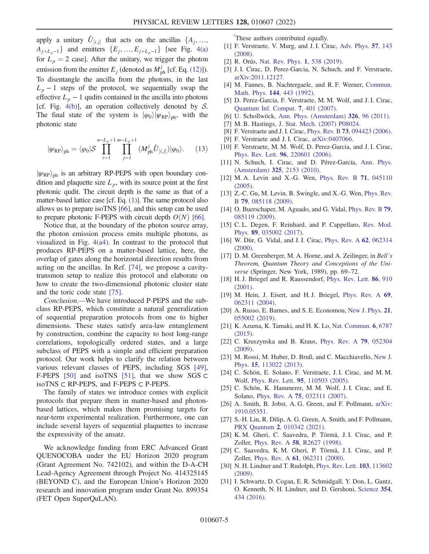apply a unitary  $\hat{U}_{[i,j]}$  that acts on the ancillas  $\{A_j, \ldots, A_j\}$  $A_{j+L_p-1}$  and emitters  $\{E_j, ..., E_{j+L_p-1}\}\$  [see Fig. [4\(a\)](#page-3-1) for  $L_p = 2$  case]. After the unitary, we trigger the photon emission from the emitter  $E_j$  (denoted as  $M_{ph}^j$  [cf. Eq. [\(12\)\]](#page-3-2)). To disentangle the ancilla from the photons, in the last  $L_p - 1$  steps of the protocol, we sequentially swap the effective  $L_p - 1$  qudits contained in the ancilla into photons [cf. Fig. [4\(b\)](#page-3-1)], an operation collectively denoted by  $S$ . The final state of the system is  $|\varphi_0\rangle |\psi_{RP}\rangle_{\text{ph}}$ , with the photonic state

$$
|\psi_{\rm RP}\rangle_{\rm ph} = \langle \varphi_0 | \mathcal{S} \prod_{i=1}^{n-L_p+1} \prod_{j=1}^{m-L_p+1} (M_{\rm ph}^j \hat{U}_{[i,j]}) | \varphi_0 \rangle. \tag{13}
$$

 $|\psi_{RP}\rangle_{ph}$  is an arbitrary RP-PEPS with open boundary condition and plaquette size  $L_p$ , with its source point at the first photonic qudit. The circuit depth is the same as that of a matter-based lattice case [cf. Eq. [\(1\)](#page-0-0)]. The same protocol also allows us to prepare isoTNS [\[66](#page-5-16)], and this setup can be used to prepare photonic F-PEPS with circuit depth  $O(N)$  [[66\]](#page-5-16).

Notice that, at the boundary of the photon source array, the photon emission process emits multiple photons, as visualized in Fig. [4\(a4\)](#page-3-1). In contrast to the protocol that produces RP-PEPS on a matter-based lattice, here, the overlap of gates along the horizontal direction results from acting on the ancillas. In Ref. [\[74\]](#page-5-21), we propose a cavitytransmon setup to realize this protocol and elaborate on how to create the two-dimensional photonic cluster state and the toric code state [[75](#page-5-22)].

Conclusion.—We have introduced P-PEPS and the subclass RP-PEPS, which constitute a natural generalization of sequential preparation protocols from one to higher dimensions. These states satisfy area-law entanglement by construction, combine the capacity to host long-range correlations, topologically ordered states, and a large subclass of PEPS with a simple and efficient preparation protocol. Our work helps to clarify the relation between various relevant classes of PEPS, including SGS [[49](#page-5-6)], F-PEPS [\[50\]](#page-5-7) and isoTNS [\[51\]](#page-5-8), that we show SGS  $\subset$ isoTNS ⊂ RP-PEPS, and F-PEPS ⊂ P-PEPS.

The family of states we introduce comes with explicit protocols that prepare them in matter-based and photonbased lattices, which makes them promising targets for near-term experimental realization. Furthermore, one can include several layers of sequential plaquettes to increase the expressivity of the ansatz.

We acknowledge funding from ERC Advanced Grant QUENOCOBA under the EU Horizon 2020 program (Grant Agreement No. 742102), and within the D-A-CH Lead-Agency Agreement through Project No. 414325145 (BEYOND C), and the European Union's Horizon 2020 research and innovation program under Grant No. 899354 (FET Open SuperQuLAN).

<span id="page-4-0"></span>[\\*](#page-0-1) These authors contributed equally.

- <span id="page-4-1"></span>[1] F. Verstraete, V. Murg, and J. I. Cirac, [Adv. Phys.](https://doi.org/10.1080/14789940801912366) 57, 143 [\(2008\).](https://doi.org/10.1080/14789940801912366)
- [2] R. Orús, [Nat. Rev. Phys.](https://doi.org/10.1038/s42254-019-0086-7) 1, 538 (2019).
- <span id="page-4-2"></span>[3] J. I. Cirac, D. Perez-Garcia, N. Schuch, and F. Verstraete, [arXiv:2011.12127.](https://arXiv.org/abs/2011.12127)
- <span id="page-4-3"></span>[4] M. Fannes, B. Nachtergaele, and R. F. Werner, [Commun.](https://doi.org/10.1007/BF02099178) Math. Phys. 144[, 443 \(1992\)](https://doi.org/10.1007/BF02099178).
- [5] D. Perez-Garcia, F. Verstraete, M. M. Wolf, and J. I. Cirac, [Quantum Inf. Comput.](https://doi.org/10.26421/QIC7.5-6-1) 7, 401 (2007).
- <span id="page-4-4"></span>[6] U. Schollwöck, [Ann. Phys. \(Amsterdam\)](https://doi.org/10.1016/j.aop.2010.09.012) **326**, 96 (2011).
- <span id="page-4-5"></span>[7] M. B. Hastings, [J. Stat. Mech. \(2007\) P08024.](https://doi.org/10.1088/1742-5468/2007/08/P08024)
- <span id="page-4-6"></span>[8] F. Verstraete and J. I. Cirac, Phys. Rev. B 73[, 094423 \(2006\).](https://doi.org/10.1103/PhysRevB.73.094423)
- <span id="page-4-7"></span>[9] F. Verstraete and J. I. Cirac, [arXiv:0407066.](https://arXiv.org/abs/0407066)
- <span id="page-4-8"></span>[10] F. Verstraete, M. M. Wolf, D. Perez-Garcia, and J. I. Cirac, Phys. Rev. Lett. 96[, 220601 \(2006\)](https://doi.org/10.1103/PhysRevLett.96.220601).
- <span id="page-4-9"></span>[11] N. Schuch, I. Cirac, and D. Pérez-García, [Ann. Phys.](https://doi.org/10.1016/j.aop.2010.05.008) (Amsterdam) 325[, 2153 \(2010\).](https://doi.org/10.1016/j.aop.2010.05.008)
- <span id="page-4-10"></span>[12] M. A. Levin and X.-G. Wen, [Phys. Rev. B](https://doi.org/10.1103/PhysRevB.71.045110) 71, 045110 [\(2005\).](https://doi.org/10.1103/PhysRevB.71.045110)
- [13] Z.-C. Gu, M. Levin, B. Swingle, and X.-G. Wen, [Phys. Rev.](https://doi.org/10.1103/PhysRevB.79.085118) B 79[, 085118 \(2009\).](https://doi.org/10.1103/PhysRevB.79.085118)
- <span id="page-4-11"></span>[14] O. Buerschaper, M. Aguado, and G. Vidal, [Phys. Rev. B](https://doi.org/10.1103/PhysRevB.79.085119) 79, [085119 \(2009\).](https://doi.org/10.1103/PhysRevB.79.085119)
- <span id="page-4-12"></span>[15] C. L. Degen, F. Reinhard, and P. Cappellaro, [Rev. Mod.](https://doi.org/10.1103/RevModPhys.89.035002) Phys. 89[, 035002 \(2017\)](https://doi.org/10.1103/RevModPhys.89.035002).
- <span id="page-4-13"></span>[16] W. Dür, G. Vidal, and J. I. Cirac, [Phys. Rev. A](https://doi.org/10.1103/PhysRevA.62.062314) 62, 062314 [\(2000\).](https://doi.org/10.1103/PhysRevA.62.062314)
- <span id="page-4-14"></span>[17] D. M. Greenberger, M. A. Horne, and A. Zeilinger, in *Bell's* Theorem, Quantum Theory and Conceptions of the Universe (Springer, New York, 1989), pp. 69–72.
- <span id="page-4-15"></span>[18] H. J. Briegel and R. Raussendorf, [Phys. Rev. Lett.](https://doi.org/10.1103/PhysRevLett.86.910) 86, 910 [\(2001\).](https://doi.org/10.1103/PhysRevLett.86.910)
- <span id="page-4-16"></span>[19] M. Hein, J. Eisert, and H. J. Briegel, [Phys. Rev. A](https://doi.org/10.1103/PhysRevA.69.062311) 69, [062311 \(2004\).](https://doi.org/10.1103/PhysRevA.69.062311)
- <span id="page-4-25"></span>[20] A. Russo, E. Barnes, and S. E. Economou, [New J. Phys.](https://doi.org/10.1088/1367-2630/ab193d) 21, [055002 \(2019\).](https://doi.org/10.1088/1367-2630/ab193d)
- <span id="page-4-17"></span>[21] K. Azuma, K. Tamaki, and H. K. Lo, [Nat. Commun.](https://doi.org/10.1038/ncomms7787) 6, 6787 [\(2015\).](https://doi.org/10.1038/ncomms7787)
- <span id="page-4-18"></span>[22] C. Kruszynska and B. Kraus, [Phys. Rev. A](https://doi.org/10.1103/PhysRevA.79.052304) 79, 052304 [\(2009\).](https://doi.org/10.1103/PhysRevA.79.052304)
- <span id="page-4-19"></span>[23] M. Rossi, M. Huber, D. Bruß, and C. Macchiavello, [New J.](https://doi.org/10.1088/1367-2630/15/11/113022) Phys. 15[, 113022 \(2013\)](https://doi.org/10.1088/1367-2630/15/11/113022).
- <span id="page-4-20"></span>[24] C. Schön, E. Solano, F. Verstraete, J. I. Cirac, and M. M. Wolf, Phys. Rev. Lett. 95[, 110503 \(2005\)](https://doi.org/10.1103/PhysRevLett.95.110503).
- <span id="page-4-21"></span>[25] C. Schön, K. Hammerer, M. M. Wolf, J. I. Cirac, and E. Solano, Phys. Rev. A 75[, 032311 \(2007\)](https://doi.org/10.1103/PhysRevA.75.032311).
- <span id="page-4-22"></span>[26] A. Smith, B. Jobst, A. G. Green, and F. Pollmann, [arXiv:](https://arXiv.org/abs/1910.05351) [1910.05351.](https://arXiv.org/abs/1910.05351)
- <span id="page-4-23"></span>[27] S.-H. Lin, R. Dilip, A. G. Green, A. Smith, and F. Pollmann, PRX Quantum 2[, 010342 \(2021\)](https://doi.org/10.1103/PRXQuantum.2.010342).
- <span id="page-4-24"></span>[28] K. M. Gheri, C. Saavedra, P. Törmä, J. I. Cirac, and P. Zoller, Phys. Rev. A 58[, R2627 \(1998\).](https://doi.org/10.1103/PhysRevA.58.R2627)
- [29] C. Saavedra, K. M. Gheri, P. Törmä, J. I. Cirac, and P. Zoller, Phys. Rev. A 61[, 062311 \(2000\).](https://doi.org/10.1103/PhysRevA.61.062311)
- <span id="page-4-26"></span>[30] N. H. Lindner and T. Rudolph, [Phys. Rev. Lett.](https://doi.org/10.1103/PhysRevLett.103.113602) 103, 113602 [\(2009\).](https://doi.org/10.1103/PhysRevLett.103.113602)
- [31] I. Schwartz, D. Cogan, E. R. Schmidgall, Y. Don, L. Gantz, O. Kenneth, N. H. Lindner, and D. Gershoni, [Science](https://doi.org/10.1126/science.aah4758) 354, [434 \(2016\)](https://doi.org/10.1126/science.aah4758).